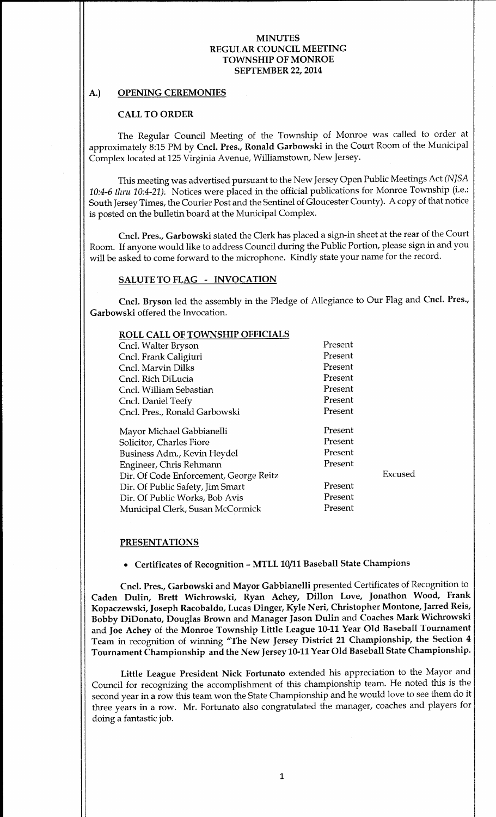# A.) OPENING CEREMONIES

### CALL TO ORDER

The Regular Council Meeting of the Township of Monroe was called to order at approximately 8:15 PM by Cncl. Pres., Ronald Garbowski in the Court Room of the Municipal Complex located at 125 Virginia Avenue, Williamstown, New Jersey.

This meeting was advertised pursuant to the New Jersey Open Public Meetings Act( NJSA 10:4-6 thru 10:4-21). Notices were placed in the official publications for Monroe Township (i.e.: South Jersey Times, the Courier Post and the Sentinel of Gloucester County). A copy of that notice is posted on the bulletin board at the Municipal Complex.

Cncl. Pres., Garbowski stated the Clerk has placed a sign-in sheet at the rear of the Court Room. If anyone would like to address Council during the Public Portion, please sign in and you will be asked to come forward to the microphone. Kindly state your name for the record.

### SALUTE TO FLAG - INVOCATION

Cncl. Bryson led the assembly in the Pledge of Allegiance to Our Flag and Cncl. Pres., Garbowski offered the Invocation.

| <b>ROLL CALL OF TOWNSHIP OFFICIALS</b> |         |         |
|----------------------------------------|---------|---------|
| Cncl. Walter Bryson                    | Present |         |
| Cncl. Frank Caligiuri                  | Present |         |
| Cncl. Marvin Dilks                     | Present |         |
| Cncl. Rich DiLucia                     | Present |         |
| Cncl. William Sebastian                | Present |         |
| Cncl. Daniel Teefy                     | Present |         |
| Cncl. Pres., Ronald Garbowski          | Present |         |
|                                        |         |         |
| Mayor Michael Gabbianelli              | Present |         |
| Solicitor, Charles Fiore               | Present |         |
| Business Adm., Kevin Heydel            | Present |         |
| Engineer, Chris Rehmann                | Present |         |
| Dir. Of Code Enforcement, George Reitz |         | Excused |
| Dir. Of Public Safety, Jim Smart       | Present |         |
| Dir. Of Public Works, Bob Avis         | Present |         |
| Municipal Clerk, Susan McCormick       | Present |         |
|                                        |         |         |

#### PRESENTATIONS

Certificates of Recognition- MTLL 10/11 Baseball State Champions

Cncl. Pres., Garbowski and Mayor Gabbianelli presented Certificates of Recognition to Caden Dulin, Brett Wichrowski, Ryan Achey, Dillon Love, Jonathon Wood, Frank Kopaczewski, Joseph Racobaldo, Lucas Dinger, Kyle Neri, Christopher Montone, Jarred Reis, Bobby DiDonato, Douglas Brown and Manager Jason Dulin and Coaches Mark Wichrowski and Joe Achey of the Monroe Township Little League 10-11 Year Old Baseball Tournament Team in recognition of winning "The New Jersey District 21 Championship, the Section 4 Tournament Championship and the New Jersey 10-11 Year Old Baseball State Championship.

Little League President Nick Fortunato extended his appreciation to the Mayor and Council for recognizing the accomplishment of this championship team. He noted this is the second year in <sup>a</sup> row this team won the State Championship and he would love to see them do it three years in a row. Mr. Fortunato also congratulated the manager, coaches and players for doing a fantastic job.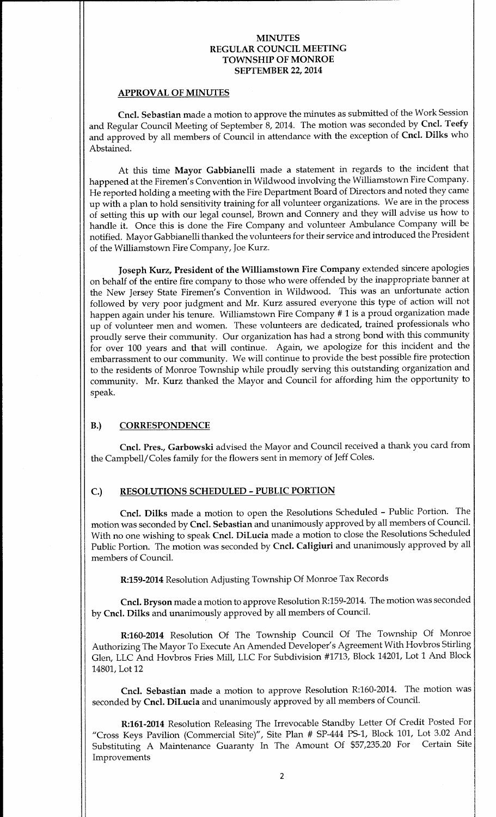#### APPROVAL OF MINUTES

Cncl. Sebastian made a motion to approve the minutes as submitted of the Work Session and Regular Council Meeting of September 8, 2014. The motion was seconded by Cncl. Teefy and approved by all members of Council in attendance with the exception of Cncl. Dilks who Abstained.

At this time Mayor Gabbianelli made a statement in regards to the incident that happened at the Firemen's Convention in Wildwood involving the Williamstown Fire Company. He reported holding a meeting with the Fire Department Board of Directors and noted they came up with <sup>a</sup> plan to hold sensitivity training for all volunteer organizations. We are in the process of setting this up with our legal counsel, Brown and Connery and they will advise us how to handle it. Once this is done the Fire Company and volunteer Ambulance Company will be notified. Mayor Gabbianelli thanked the volunteers for their service and introduced the President of the Williamstown Fire Company, Joe Kurz.

Joseph Kurz, President of the Williamstown Fire Company extended sincere apologies on behalf of the entire fire company to those who were offended by the inappropriate banner at the New Jersey State Firemen's Convention in Wildwood. This was an unfortunate action followed by very poor judgment and Mr. Kurz assured everyone this type of action will not happen again under his tenure. Williamstown Fire Company # <sup>1</sup> is <sup>a</sup> proud organization made up of volunteer men and women. These volunteers are dedicated, trained professionals who proudly serve their community. Our organization has had a strong bond with this community for over 100 years and that will continue. Again, we apologize for this incident and the embarrassment to our community. We will continue to provide the best possible fire protection to the residents of Monroe Township while proudly serving this outstanding organization and community. Mr. Kurz thanked the Mayor and Council for affording him the opportunity to speak.

# B.) CORRESPONDENCE

Cncl. Pres., Garbowski advised the Mayor and Council received <sup>a</sup> thank you card from the Campbell/ Coles family for the flowers sent in memory of Jeff Coles.

# C.) RESOLUTIONS SCHEDULED- PUBLIC PORTION

Cncl. Dilks made <sup>a</sup> motion to open the Resolutions Scheduled - Public Portion. The motion was seconded by Cncl. Sebastian and unanimously approved by all members of Council. With no one wishing to speak Cncl. DiLucia made a motion to close the Resolutions Scheduled Public Portion. The motion was seconded by Cncl. Caligiuri and unanimously approved by all members of Council.

R:159-2014 Resolution Adjusting Township Of Monroe Tax Records

Cncl. Bryson made a motion to approve Resolution R:159- 2014. The motion was seconded by Cncl. Dilks and unanimously approved by all members of Council.

R:160-2014 Resolution Of The Township Council Of The Township Of Monroe Authorizing The Mayor To Execute An Amended Developer' <sup>s</sup> Agreement With Hovbros Stirling Glen, LLC And Hovbros Fries Mill, LLC For Subdivision #1713, Block 14201, Lot <sup>1</sup> And Block 14801, Lot 12

Cncl. Sebastian made a motion to approve Resolution R:160-2014. The motion was seconded by Cncl. DiLucia and unanimously approved by all members of Council.

R:161-2014 Resolution Releasing The Irrevocable Standby Letter Of Credit Posted For "Cross Keys Pavilion (Commercial Site)", Site Plan # SP-444 PS-1, Block 101, Lot 3.02 And Substituting A Maintenance Guaranty In The Amount Of \$57,235.<sup>20</sup> For Certain Site Improvements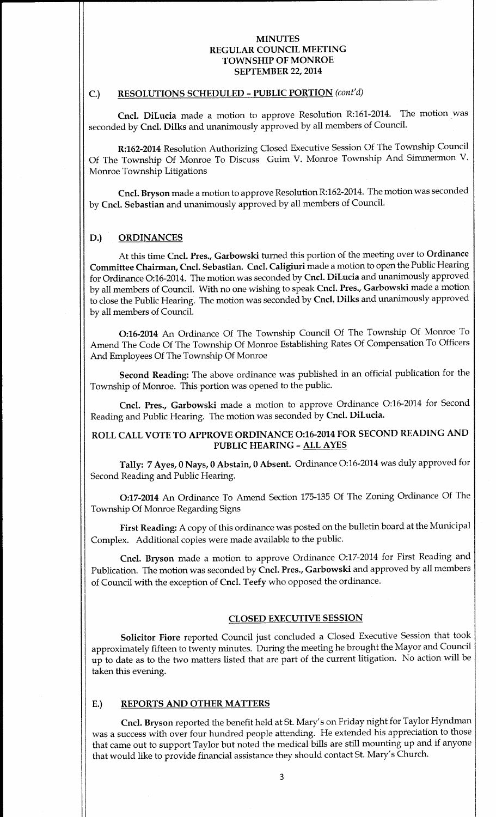# C.) RESOLUTIONS SCHEDULED - PUBLIC PORTION (cont'd)

Cncl. DiLucia made a motion to approve Resolution R:161-2014. The motion was seconded by Cncl. Dilks and unanimously approved by all members of Council.

R:162-2014 Resolution Authorizing Closed Executive Session Of The Township Council Of The Township Of Monroe To Discuss Guim V. Monroe Township And Simmermon V. Monroe Township Litigations

Cncl. Bryson made a motion to approve Resolution R:162-2014. The motion was seconded by Cncl. Sebastian and unanimously approved by all members of Council.

### D.) ORDINANCES

At this time Cncl. Pres., Garbowski turned this portion of the meeting over to Ordinance Committee Chairman, Cncl. Sebastian. Cncl. Caligiuri made a motion to open the Public Hearing for Ordinance O:16-2014. The motion was seconded by Cncl. DiLucia and unanimously approved by all members of Council. With no one wishing to speak Cncl. Pres., Garbowski made a motion to close the Public Hearing. The motion was seconded by Cncl. Dilks and unanimously approved by all members of Council.

0:16- <sup>2014</sup> An Ordinance Of The Township Council Of The Township Of Monroe To Amend The Code Of The Township Of Monroe Establishing Rates Of Compensation To Officers And Employees Of The Township Of Monroe

Second Reading: The above ordinance was published in an official publication for the Township of Monroe. This portion was opened to the public.

Cncl. Pres., Garbowski made a motion to approve Ordinance O:16-2014 for Second Reading and Public Hearing. The motion was seconded by Cncl. DiLucia.

# ROLL CALL VOTE TO APPROVE ORDINANCE 0:16-2014 FOR SECOND READING AND PUBLIC HEARING- ALL AYES

Tally: 7 Ayes, <sup>0</sup> Nays, <sup>0</sup> Abstain, <sup>0</sup> Absent. Ordinance 0:16-2014 was duly approved for Second Reading and Public Hearing.

0:17-2014 An Ordinance To Amend Section 175-135 Of The Zoning Ordinance Of The Township Of Monroe Regarding Signs

First Reading: A copy of this ordinance was posted on the bulletin board at the Municipal Complex. Additional copies were made available to the public.

Cncl. Bryson made <sup>a</sup> motion to approve Ordinance 0:17-2014 for First Reading and Publication. The motion was seconded by Cncl. Pres., Garbowski and approved by all members of Council with the exception of Cncl. Teefy who opposed the ordinance.

### CLOSED EXECUTIVE SESSION

Solicitor Fiore reported Council just concluded <sup>a</sup> Closed Executive Session that took approximately fifteen to twenty minutes. During the meeting he brought the Mayor and Council up to date as to the two matters listed that are part of the current litigation. No action will be taken this evening.

## E.) REPORTS AND OTHER MATTERS

Cncl. Bryson reported the benefit held at St. Mary' <sup>s</sup> on Friday night for Taylor Hyndman was <sup>a</sup> success with over four hundred people attending. He extended his appreciation to those that came out to support Taylor but noted the medical bills are still mounting up and if anyone that would like to provide financial assistance they should contact St. Mary's Church.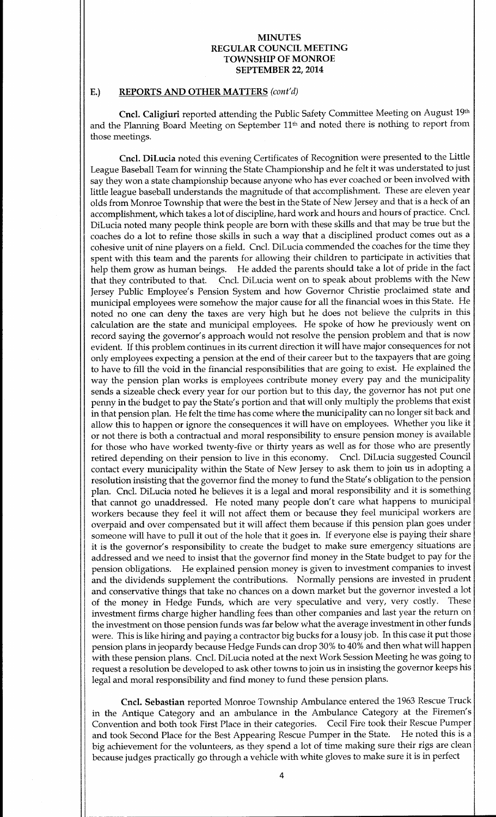## E.) REPORTS AND OTHER MATTERS (cont'd)

Cncl. Caligiuri reported attending the Public Safety Committee Meeting on August 19th and the Planning Board Meeting on September 11th and noted there is nothing to report from those meetings.

Cncl. DiLucia noted this evening Certificates of Recognition were presented to the Little League Baseball Team for winning the State Championship and he felt it was understated to just say they won <sup>a</sup> state championship because anyone who has ever coached or been involved with little league baseball understands the magnitude of that accomplishment. These are eleven year olds from Monroe Township that were the best in the State of New Jersey and that is a heck of an accomplishment, which takes a lot of discipline, hard work and hours and hours of practice. Cncl. DiLucia noted many people think people are born with these skills and that may be true but the coaches do a lot to refine those skills in such a way that a disciplined product comes out as a cohesive unit of nine players on a field. Cncl. DiLucia commended the coaches for the time they spent with this team and the parents for allowing their children to participate in activities that help them grow as human beings. He added the parents should take a lot of pride in the fact that they contributed to that. Cncl. DiLucia went on to speak about problems with the New Jersey Public Employee's Pension System and how Governor Christie proclaimed state and municipal employees were somehow the major cause for all the financial woes in this State. He noted no one can deny the taxes are very high but he does not believe the culprits in this calculation are the state and municipal employees. He spoke of how he previously went on record saying the governor's approach would not resolve the pension problem and that is now evident. If this problem continues in its current direction it will have major consequences for not only employees expecting a pension at the end of their career but to the taxpayers that are going to have to fill the void in the financial responsibilities that are going to exist. He explained the way the pension plan works is employees contribute money every pay and the municipality sends a sizeable check every year for our portion but to this day, the governor has not put one penny in the budget to pay the State' <sup>s</sup> portion and that will only multiply the problems that exist in that pension plan. He felt the time has come where the municipality can no longer sit back and allow this to happen or ignore the consequences it will have on employees. Whether you like it or not there is both a contractual and moral responsibility to ensure pension money is available for those who have worked twenty-five or thirty years as well as for those who are presently retired depending on their pension to live in this economy. Cncl. DiLucia suggested Council contact every municipality within the State of New Jersey to ask them to join us in adopting a resolution insisting that the governor find the money to fund the State' <sup>s</sup> obligation to the pension plan. Cncl. DiLucia noted he believes it is <sup>a</sup> legal and moral responsibility and it is something that cannot go unaddressed. He noted many people don't care what happens to municipal workers because they feel it will not affect them or because they feel municipal workers are overpaid and over compensated but it will affect them because if this pension plan goes under someone will have to pull it out of the hole that it goes in. If everyone else is paying their share it is the governor's responsibility to create the budget to make sure emergency situations are addressed and we need to insist that the governor find money in the State budget to pay for the pension obligations. He explained pension money is given to investment companies to invest and the dividends supplement the contributions. Normally pensions are invested in prudent and conservative things that take no chances on a down market but the governor invested a lot of the money in Hedge Funds, which are very speculative and very, very costly. These investment firms charge higher handling fees than other companies and last year the return on the investment on those pension funds was far below what the average investment in other funds were. This is like hiring and paying <sup>a</sup> contractor big bucks for <sup>a</sup> lousy job. In this case it put those pension plans in jeopardy because Hedge Funds can drop 30% to 40% and then what will happen with these pension plans. Cncl. DiLucia noted at the next Work Session Meeting he was going to request a resolution be developed to ask other towns to join us in insisting the governor keeps his legal and moral responsibility and find money to fund these pension plans.

Cncl. Sebastian reported Monroe Township Ambulance entered the 1963 Rescue Truck in the Antique Category and an ambulance in the Ambulance Category at the Firemen's Convention and both took First Place in their categories. Cecil Fire took their Rescue Pumper and took Second Place for the Best Appearing Rescue Pumper in the State. He noted this is <sup>a</sup> big achievement for the volunteers, as they spend <sup>a</sup> lot of time making sure their rigs are clean because judges practically go through <sup>a</sup> vehicle with white gloves to make sure it is in perfect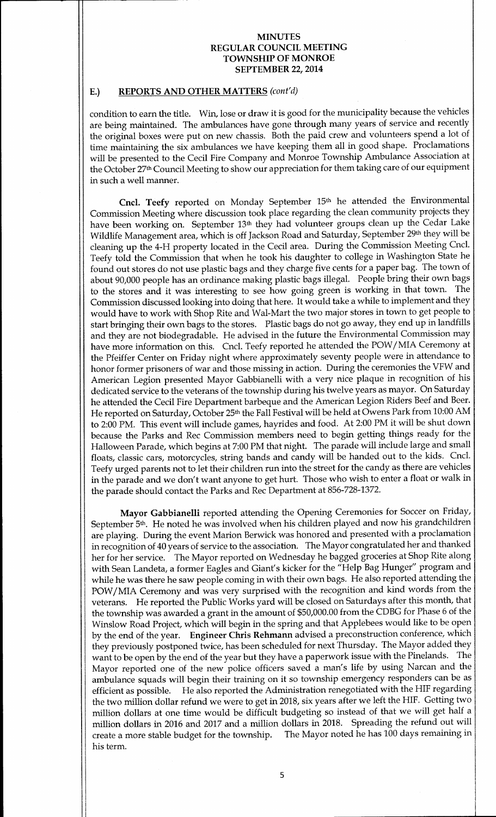### E.) REPORTS AND OTHER MATTERS (cont'd)

condition to earn the title. Win, lose or draw it is good for the municipality because the vehicles are being maintained. The ambulances have gone through many years of service and recently the original boxes were put on new chassis. Both the paid crew and volunteers spend <sup>a</sup> lot of time maintaining the six ambulances we have keeping them all in good shape. Proclamations will be presented to the Cecil Fire Company and Monroe Township Ambulance Association at the October 27th Council Meeting to show our appreciation for them taking care of our equipment in such a well manner.

Cncl. Teefy reported on Monday September 15<sup>th</sup> he attended the Environmental Commission Meeting where discussion took place regarding the clean community projects they have been working on. September 13<sup>th</sup> they had volunteer groups clean up the Cedar Lake Wildlife Management area, which is off Jackson Road and Saturday, September 29th they will be cleaning up the 4-H property located in the Cecil area. During the Commission Meeting Cncl. Teefy told the Commission that when he took his daughter to college in Washington State he found out stores do not use plastic bags and they charge five cents for a paper bag. The town of about 90,000 people has an ordinance making plastic bags illegal. People bring their own bags to the stores and it was interesting to see how going green is working in that town. The Commission discussed looking into doing that here. It would take a while to implement and they would have to work with Shop Rite and Wal-Mart the two major stores in town to get people to start bringing their own bags to the stores. Plastic bags do not go away, they end up in landfills and they are not biodegradable. He advised in the future the Environmental Commission may have more information on this. Cncl. Teefy reported he attended the POW/ MIA Ceremony at the Pfeiffer Center on Friday night where approximately seventy people were in attendance to honor former prisoners of war and those missing in action. During the ceremonies the VFW and American Legion presented Mayor Gabbianelli with a very nice plaque in recognition of his dedicated service to the veterans of the township during his twelve years as mayor. On Saturday he attended the Cecil Fire Department barbeque and the American Legion Riders Beef and Beer. He reported on Saturday, October 25th the Fall Festival will be held at Owens Park from 10:00 AM to 2:00 PM. This event will include games, hayrides and food. At 2:00 PM it will be shut down because the Parks and Rec Commission members need to begin getting things ready for the Halloween Parade, which begins at 7:00 PM that night. The parade will include large and small floats, classic cars, motorcycles, string bands and candy will be handed out to the kids. Cncl. Teefy urged parents not to let their children run into the street for the candy as there are vehicles in the parade and we don't want anyone to get hurt. Those who wish to enter a float or walk in the parade should contact the Parks and Rec Department at 856-728-1372.

Mayor Gabbianelli reported attending the Opening Ceremonies for Soccer on Friday, September 5th. He noted he was involved when his children played and now his grandchildren are playing. During the event Marion Berwick was honored and presented with <sup>a</sup> proclamation in recognition of 40 years of service to the association. The Mayor congratulated her and thanked her for her service. The Mayor reported on Wednesday he bagged groceries at Shop Rite along with Sean Landeta, a former Eagles and Giant's kicker for the " Help Bag Hunger" program and while he was there he saw people coming in with their own bags. He also reported attending the POW/ MIA Ceremony and was very surprised with the recognition and kind words from the veterans. He reported the Public Works yard will be closed on Saturdays after this month, that the township was awarded a grant in the amount of \$50,000.00 from the CDBG for Phase 6 of the Winslow Road Project, which will begin in the spring and that Applebees would like to be open by the end of the year. Engineer Chris Rehmann advised <sup>a</sup> preconstruction conference, which they previously postponed twice, has been scheduled for next Thursday. The Mayor added they<br>want to be open by the end of the year but they have a paperwork issue with the Pinelands. The want to be open by the end of the year but they have a paperwork issue with the Pinelands. Mayor reported one of the new police officers saved a man's life by using Narcan and the ambulance squads will begin their training on it so township emergency responders can be as efficient as possible. He also reported the Administration renegotiated with the HIF regarding the two million dollar refund we were to get in 2018, six years after we left the HIF. Getting two million dollars at one time would be difficult budgeting so instead of that we will get half <sup>a</sup> million dollars in <sup>2016</sup> and <sup>2017</sup> and <sup>a</sup> million dollars in 2018. Spreading the refund out will create <sup>a</sup> more stable budget for the township. The Mayor noted he has <sup>100</sup> days remaining in his term.

1